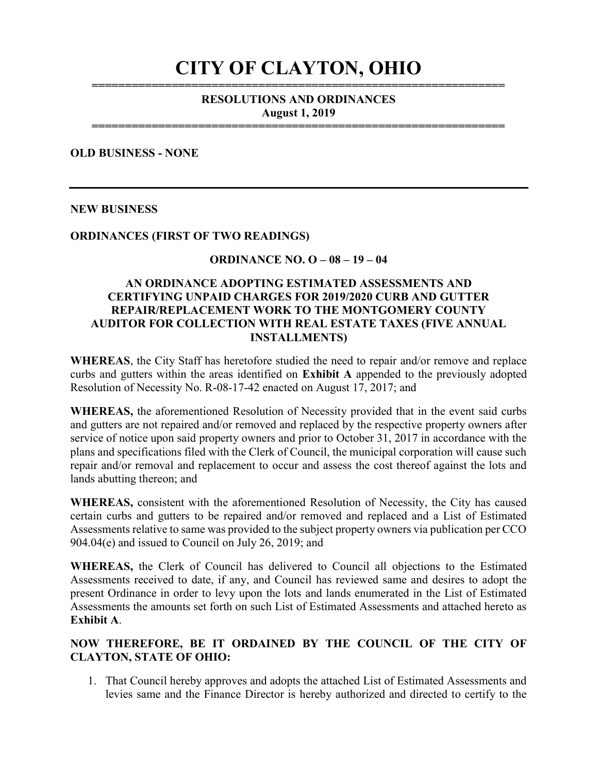# CITY OF CLAYTON, OHIO

#### ============================================================== RESOLUTIONS AND ORDINANCES August 1, 2019

==============================================================

#### OLD BUSINESS - NONE

#### NEW BUSINESS

#### ORDINANCES (FIRST OF TWO READINGS)

#### ORDINANCE NO. O – 08 – 19 – 04

#### AN ORDINANCE ADOPTING ESTIMATED ASSESSMENTS AND CERTIFYING UNPAID CHARGES FOR 2019/2020 CURB AND GUTTER REPAIR/REPLACEMENT WORK TO THE MONTGOMERY COUNTY AUDITOR FOR COLLECTION WITH REAL ESTATE TAXES (FIVE ANNUAL INSTALLMENTS)

WHEREAS, the City Staff has heretofore studied the need to repair and/or remove and replace curbs and gutters within the areas identified on Exhibit A appended to the previously adopted Resolution of Necessity No. R-08-17-42 enacted on August 17, 2017; and

WHEREAS, the aforementioned Resolution of Necessity provided that in the event said curbs and gutters are not repaired and/or removed and replaced by the respective property owners after service of notice upon said property owners and prior to October 31, 2017 in accordance with the plans and specifications filed with the Clerk of Council, the municipal corporation will cause such repair and/or removal and replacement to occur and assess the cost thereof against the lots and lands abutting thereon; and

WHEREAS, consistent with the aforementioned Resolution of Necessity, the City has caused certain curbs and gutters to be repaired and/or removed and replaced and a List of Estimated Assessments relative to same was provided to the subject property owners via publication per CCO 904.04(e) and issued to Council on July 26, 2019; and

WHEREAS, the Clerk of Council has delivered to Council all objections to the Estimated Assessments received to date, if any, and Council has reviewed same and desires to adopt the present Ordinance in order to levy upon the lots and lands enumerated in the List of Estimated Assessments the amounts set forth on such List of Estimated Assessments and attached hereto as Exhibit A.

#### NOW THEREFORE, BE IT ORDAINED BY THE COUNCIL OF THE CITY OF CLAYTON, STATE OF OHIO:

1. That Council hereby approves and adopts the attached List of Estimated Assessments and levies same and the Finance Director is hereby authorized and directed to certify to the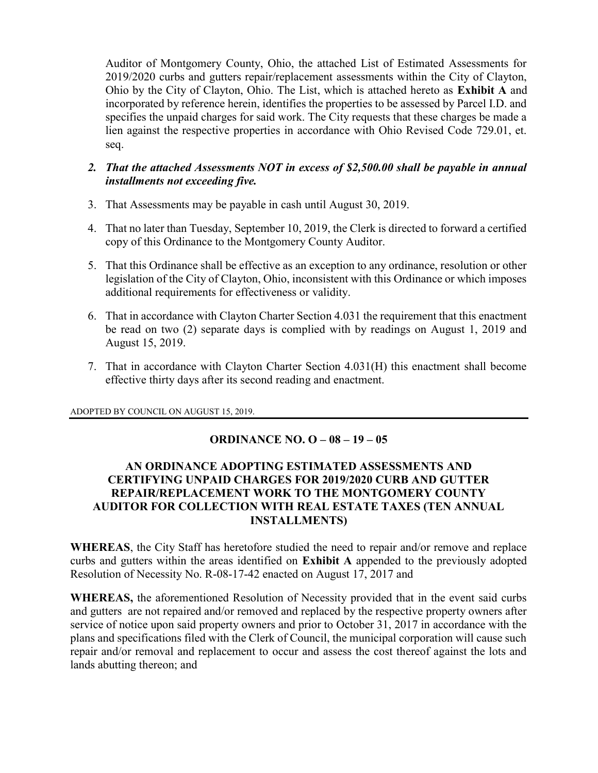Auditor of Montgomery County, Ohio, the attached List of Estimated Assessments for 2019/2020 curbs and gutters repair/replacement assessments within the City of Clayton, Ohio by the City of Clayton, Ohio. The List, which is attached hereto as Exhibit A and incorporated by reference herein, identifies the properties to be assessed by Parcel I.D. and specifies the unpaid charges for said work. The City requests that these charges be made a lien against the respective properties in accordance with Ohio Revised Code 729.01, et. seq.

#### 2. That the attached Assessments NOT in excess of \$2,500.00 shall be payable in annual installments not exceeding five.

- 3. That Assessments may be payable in cash until August 30, 2019.
- 4. That no later than Tuesday, September 10, 2019, the Clerk is directed to forward a certified copy of this Ordinance to the Montgomery County Auditor.
- 5. That this Ordinance shall be effective as an exception to any ordinance, resolution or other legislation of the City of Clayton, Ohio, inconsistent with this Ordinance or which imposes additional requirements for effectiveness or validity.
- 6. That in accordance with Clayton Charter Section 4.031 the requirement that this enactment be read on two (2) separate days is complied with by readings on August 1, 2019 and August 15, 2019.
- 7. That in accordance with Clayton Charter Section 4.031(H) this enactment shall become effective thirty days after its second reading and enactment.

ADOPTED BY COUNCIL ON AUGUST 15, 2019.

# ORDINANCE NO. O – 08 – 19 – 05

#### AN ORDINANCE ADOPTING ESTIMATED ASSESSMENTS AND CERTIFYING UNPAID CHARGES FOR 2019/2020 CURB AND GUTTER REPAIR/REPLACEMENT WORK TO THE MONTGOMERY COUNTY AUDITOR FOR COLLECTION WITH REAL ESTATE TAXES (TEN ANNUAL INSTALLMENTS)

WHEREAS, the City Staff has heretofore studied the need to repair and/or remove and replace curbs and gutters within the areas identified on Exhibit A appended to the previously adopted Resolution of Necessity No. R-08-17-42 enacted on August 17, 2017 and

WHEREAS, the aforementioned Resolution of Necessity provided that in the event said curbs and gutters are not repaired and/or removed and replaced by the respective property owners after service of notice upon said property owners and prior to October 31, 2017 in accordance with the plans and specifications filed with the Clerk of Council, the municipal corporation will cause such repair and/or removal and replacement to occur and assess the cost thereof against the lots and lands abutting thereon; and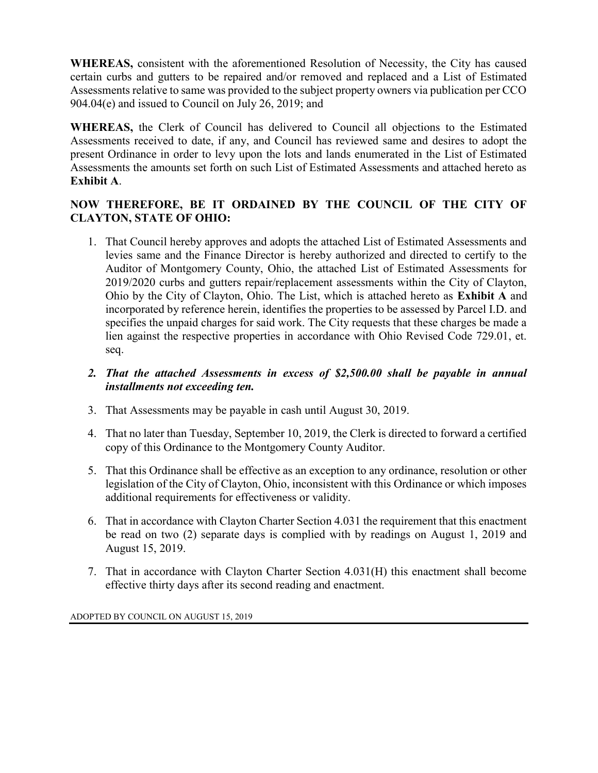WHEREAS, consistent with the aforementioned Resolution of Necessity, the City has caused certain curbs and gutters to be repaired and/or removed and replaced and a List of Estimated Assessments relative to same was provided to the subject property owners via publication per CCO 904.04(e) and issued to Council on July 26, 2019; and

WHEREAS, the Clerk of Council has delivered to Council all objections to the Estimated Assessments received to date, if any, and Council has reviewed same and desires to adopt the present Ordinance in order to levy upon the lots and lands enumerated in the List of Estimated Assessments the amounts set forth on such List of Estimated Assessments and attached hereto as Exhibit A.

# NOW THEREFORE, BE IT ORDAINED BY THE COUNCIL OF THE CITY OF CLAYTON, STATE OF OHIO:

- 1. That Council hereby approves and adopts the attached List of Estimated Assessments and levies same and the Finance Director is hereby authorized and directed to certify to the Auditor of Montgomery County, Ohio, the attached List of Estimated Assessments for 2019/2020 curbs and gutters repair/replacement assessments within the City of Clayton, Ohio by the City of Clayton, Ohio. The List, which is attached hereto as Exhibit A and incorporated by reference herein, identifies the properties to be assessed by Parcel I.D. and specifies the unpaid charges for said work. The City requests that these charges be made a lien against the respective properties in accordance with Ohio Revised Code 729.01, et. seq.
- 2. That the attached Assessments in excess of \$2,500.00 shall be payable in annual installments not exceeding ten.
- 3. That Assessments may be payable in cash until August 30, 2019.
- 4. That no later than Tuesday, September 10, 2019, the Clerk is directed to forward a certified copy of this Ordinance to the Montgomery County Auditor.
- 5. That this Ordinance shall be effective as an exception to any ordinance, resolution or other legislation of the City of Clayton, Ohio, inconsistent with this Ordinance or which imposes additional requirements for effectiveness or validity.
- 6. That in accordance with Clayton Charter Section 4.031 the requirement that this enactment be read on two (2) separate days is complied with by readings on August 1, 2019 and August 15, 2019.
- 7. That in accordance with Clayton Charter Section 4.031(H) this enactment shall become effective thirty days after its second reading and enactment.

ADOPTED BY COUNCIL ON AUGUST 15, 2019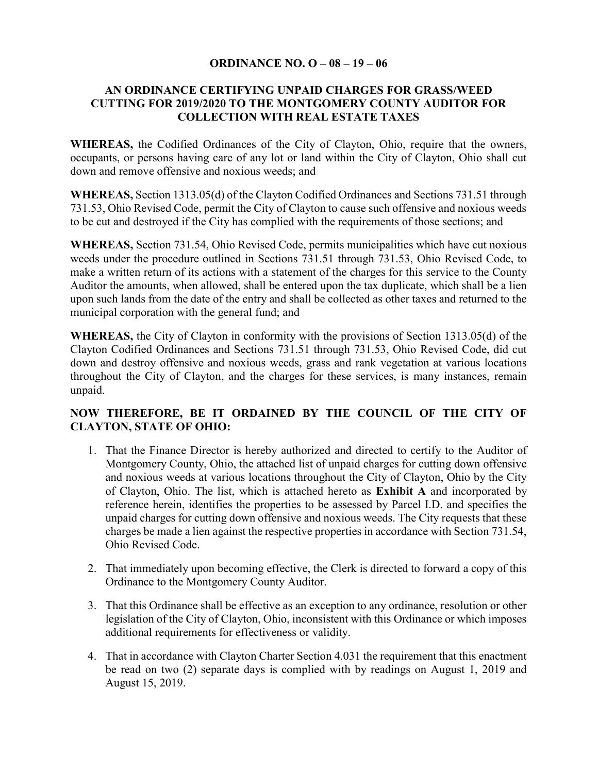#### ORDINANCE NO. O – 08 – 19 – 06

# AN ORDINANCE CERTIFYING UNPAID CHARGES FOR GRASS/WEED CUTTING FOR 2019/2020 TO THE MONTGOMERY COUNTY AUDITOR FOR COLLECTION WITH REAL ESTATE TAXES

WHEREAS, the Codified Ordinances of the City of Clayton, Ohio, require that the owners, occupants, or persons having care of any lot or land within the City of Clayton, Ohio shall cut down and remove offensive and noxious weeds; and

WHEREAS, Section 1313.05(d) of the Clayton Codified Ordinances and Sections 731.51 through 731.53, Ohio Revised Code, permit the City of Clayton to cause such offensive and noxious weeds to be cut and destroyed if the City has complied with the requirements of those sections; and

WHEREAS, Section 731.54, Ohio Revised Code, permits municipalities which have cut noxious weeds under the procedure outlined in Sections 731.51 through 731.53, Ohio Revised Code, to make a written return of its actions with a statement of the charges for this service to the County Auditor the amounts, when allowed, shall be entered upon the tax duplicate, which shall be a lien upon such lands from the date of the entry and shall be collected as other taxes and returned to the municipal corporation with the general fund; and

WHEREAS, the City of Clayton in conformity with the provisions of Section 1313.05(d) of the Clayton Codified Ordinances and Sections 731.51 through 731.53, Ohio Revised Code, did cut down and destroy offensive and noxious weeds, grass and rank vegetation at various locations throughout the City of Clayton, and the charges for these services, is many instances, remain unpaid.

# NOW THEREFORE, BE IT ORDAINED BY THE COUNCIL OF THE CITY OF CLAYTON, STATE OF OHIO:

- 1. That the Finance Director is hereby authorized and directed to certify to the Auditor of Montgomery County, Ohio, the attached list of unpaid charges for cutting down offensive and noxious weeds at various locations throughout the City of Clayton, Ohio by the City of Clayton, Ohio. The list, which is attached hereto as Exhibit A and incorporated by reference herein, identifies the properties to be assessed by Parcel I.D. and specifies the unpaid charges for cutting down offensive and noxious weeds. The City requests that these charges be made a lien against the respective properties in accordance with Section 731.54, Ohio Revised Code.
- 2. That immediately upon becoming effective, the Clerk is directed to forward a copy of this Ordinance to the Montgomery County Auditor.
- 3. That this Ordinance shall be effective as an exception to any ordinance, resolution or other legislation of the City of Clayton, Ohio, inconsistent with this Ordinance or which imposes additional requirements for effectiveness or validity.
- 4. That in accordance with Clayton Charter Section 4.031 the requirement that this enactment be read on two (2) separate days is complied with by readings on August 1, 2019 and August 15, 2019.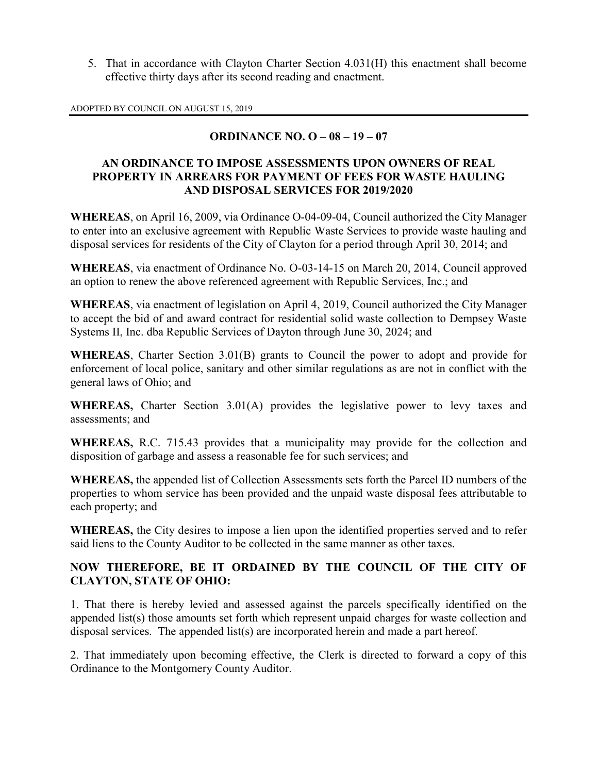5. That in accordance with Clayton Charter Section 4.031(H) this enactment shall become effective thirty days after its second reading and enactment.

ADOPTED BY COUNCIL ON AUGUST 15, 2019

# ORDINANCE NO. O – 08 – 19 – 07

#### AN ORDINANCE TO IMPOSE ASSESSMENTS UPON OWNERS OF REAL PROPERTY IN ARREARS FOR PAYMENT OF FEES FOR WASTE HAULING AND DISPOSAL SERVICES FOR 2019/2020

WHEREAS, on April 16, 2009, via Ordinance O-04-09-04, Council authorized the City Manager to enter into an exclusive agreement with Republic Waste Services to provide waste hauling and disposal services for residents of the City of Clayton for a period through April 30, 2014; and

WHEREAS, via enactment of Ordinance No. O-03-14-15 on March 20, 2014, Council approved an option to renew the above referenced agreement with Republic Services, Inc.; and

WHEREAS, via enactment of legislation on April 4, 2019, Council authorized the City Manager to accept the bid of and award contract for residential solid waste collection to Dempsey Waste Systems II, Inc. dba Republic Services of Dayton through June 30, 2024; and

WHEREAS, Charter Section 3.01(B) grants to Council the power to adopt and provide for enforcement of local police, sanitary and other similar regulations as are not in conflict with the general laws of Ohio; and

WHEREAS, Charter Section 3.01(A) provides the legislative power to levy taxes and assessments; and

WHEREAS, R.C. 715.43 provides that a municipality may provide for the collection and disposition of garbage and assess a reasonable fee for such services; and

WHEREAS, the appended list of Collection Assessments sets forth the Parcel ID numbers of the properties to whom service has been provided and the unpaid waste disposal fees attributable to each property; and

WHEREAS, the City desires to impose a lien upon the identified properties served and to refer said liens to the County Auditor to be collected in the same manner as other taxes.

# NOW THEREFORE, BE IT ORDAINED BY THE COUNCIL OF THE CITY OF CLAYTON, STATE OF OHIO:

1. That there is hereby levied and assessed against the parcels specifically identified on the appended list(s) those amounts set forth which represent unpaid charges for waste collection and disposal services. The appended list(s) are incorporated herein and made a part hereof.

2. That immediately upon becoming effective, the Clerk is directed to forward a copy of this Ordinance to the Montgomery County Auditor.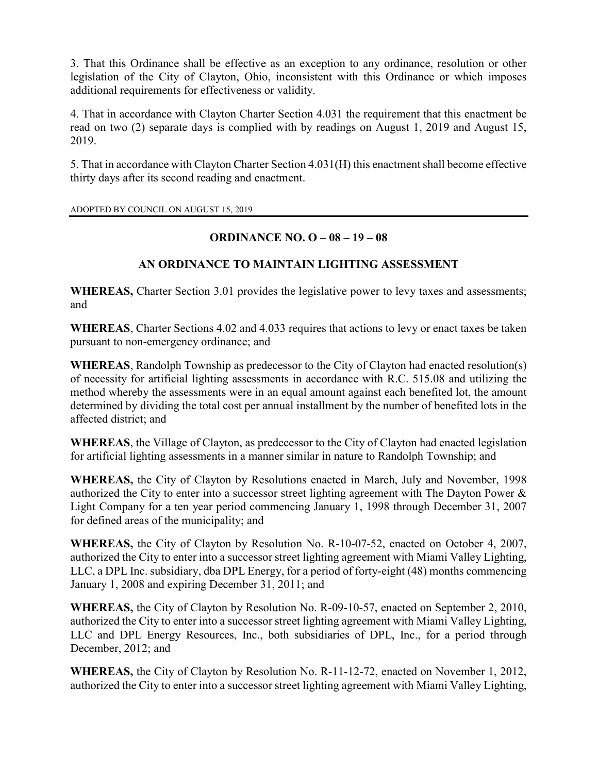3. That this Ordinance shall be effective as an exception to any ordinance, resolution or other legislation of the City of Clayton, Ohio, inconsistent with this Ordinance or which imposes additional requirements for effectiveness or validity.

4. That in accordance with Clayton Charter Section 4.031 the requirement that this enactment be read on two (2) separate days is complied with by readings on August 1, 2019 and August 15, 2019.

5. That in accordance with Clayton Charter Section 4.031(H) this enactment shall become effective thirty days after its second reading and enactment.

ADOPTED BY COUNCIL ON AUGUST 15, 2019

# ORDINANCE NO. O – 08 – 19 – 08

# AN ORDINANCE TO MAINTAIN LIGHTING ASSESSMENT

WHEREAS, Charter Section 3.01 provides the legislative power to levy taxes and assessments; and

WHEREAS, Charter Sections 4.02 and 4.033 requires that actions to levy or enact taxes be taken pursuant to non-emergency ordinance; and

WHEREAS, Randolph Township as predecessor to the City of Clayton had enacted resolution(s) of necessity for artificial lighting assessments in accordance with R.C. 515.08 and utilizing the method whereby the assessments were in an equal amount against each benefited lot, the amount determined by dividing the total cost per annual installment by the number of benefited lots in the affected district; and

WHEREAS, the Village of Clayton, as predecessor to the City of Clayton had enacted legislation for artificial lighting assessments in a manner similar in nature to Randolph Township; and

WHEREAS, the City of Clayton by Resolutions enacted in March, July and November, 1998 authorized the City to enter into a successor street lighting agreement with The Dayton Power & Light Company for a ten year period commencing January 1, 1998 through December 31, 2007 for defined areas of the municipality; and

WHEREAS, the City of Clayton by Resolution No. R-10-07-52, enacted on October 4, 2007, authorized the City to enter into a successor street lighting agreement with Miami Valley Lighting, LLC, a DPL Inc. subsidiary, dba DPL Energy, for a period of forty-eight (48) months commencing January 1, 2008 and expiring December 31, 2011; and

WHEREAS, the City of Clayton by Resolution No. R-09-10-57, enacted on September 2, 2010, authorized the City to enter into a successor street lighting agreement with Miami Valley Lighting, LLC and DPL Energy Resources, Inc., both subsidiaries of DPL, Inc., for a period through December, 2012; and

WHEREAS, the City of Clayton by Resolution No. R-11-12-72, enacted on November 1, 2012, authorized the City to enter into a successor street lighting agreement with Miami Valley Lighting,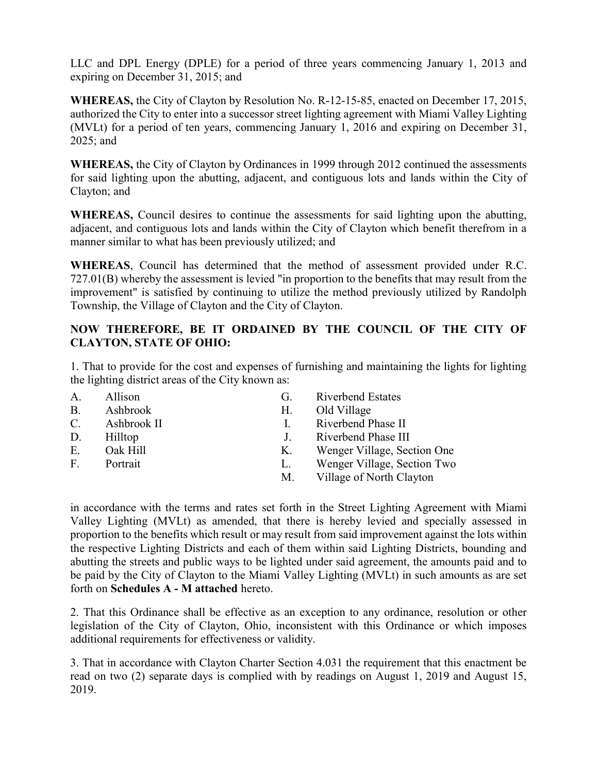LLC and DPL Energy (DPLE) for a period of three years commencing January 1, 2013 and expiring on December 31, 2015; and

WHEREAS, the City of Clayton by Resolution No. R-12-15-85, enacted on December 17, 2015, authorized the City to enter into a successor street lighting agreement with Miami Valley Lighting (MVLt) for a period of ten years, commencing January 1, 2016 and expiring on December 31, 2025; and

WHEREAS, the City of Clayton by Ordinances in 1999 through 2012 continued the assessments for said lighting upon the abutting, adjacent, and contiguous lots and lands within the City of Clayton; and

WHEREAS, Council desires to continue the assessments for said lighting upon the abutting, adjacent, and contiguous lots and lands within the City of Clayton which benefit therefrom in a manner similar to what has been previously utilized; and

WHEREAS, Council has determined that the method of assessment provided under R.C. 727.01(B) whereby the assessment is levied "in proportion to the benefits that may result from the improvement" is satisfied by continuing to utilize the method previously utilized by Randolph Township, the Village of Clayton and the City of Clayton.

# NOW THEREFORE, BE IT ORDAINED BY THE COUNCIL OF THE CITY OF CLAYTON, STATE OF OHIO:

1. That to provide for the cost and expenses of furnishing and maintaining the lights for lighting the lighting district areas of the City known as:

| A.          | Allison     | G.          | <b>Riverbend Estates</b>    |
|-------------|-------------|-------------|-----------------------------|
| <b>B.</b>   | Ashbrook    | Н.          | Old Village                 |
| $C_{\cdot}$ | Ashbrook II | L.          | Riverbend Phase II          |
| D.          | Hilltop     | $J_{\star}$ | Riverbend Phase III         |
| E.          | Oak Hill    | Κ.          | Wenger Village, Section One |
| $F_{\cdot}$ | Portrait    | L.          | Wenger Village, Section Two |
|             |             | M.          | Village of North Clayton    |

in accordance with the terms and rates set forth in the Street Lighting Agreement with Miami Valley Lighting (MVLt) as amended, that there is hereby levied and specially assessed in proportion to the benefits which result or may result from said improvement against the lots within the respective Lighting Districts and each of them within said Lighting Districts, bounding and abutting the streets and public ways to be lighted under said agreement, the amounts paid and to be paid by the City of Clayton to the Miami Valley Lighting (MVLt) in such amounts as are set forth on Schedules A - M attached hereto.

2. That this Ordinance shall be effective as an exception to any ordinance, resolution or other legislation of the City of Clayton, Ohio, inconsistent with this Ordinance or which imposes additional requirements for effectiveness or validity.

3. That in accordance with Clayton Charter Section 4.031 the requirement that this enactment be read on two (2) separate days is complied with by readings on August 1, 2019 and August 15, 2019.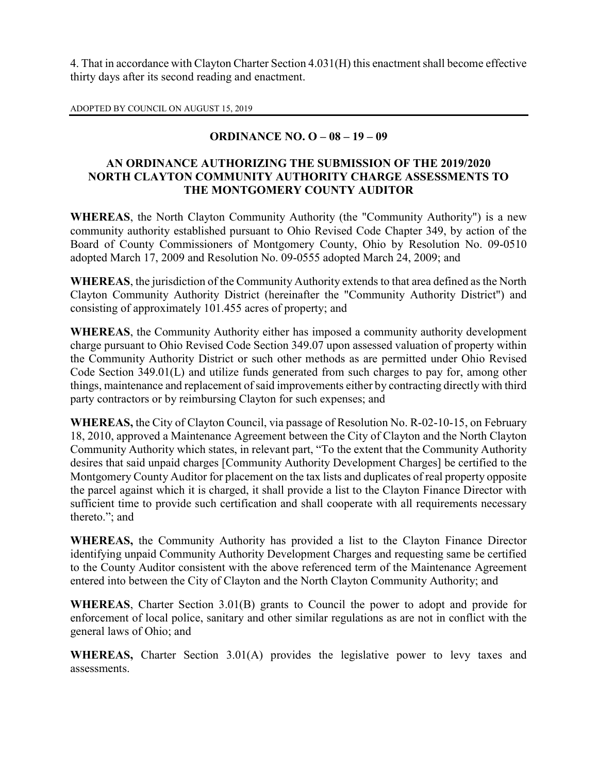4. That in accordance with Clayton Charter Section 4.031(H) this enactment shall become effective thirty days after its second reading and enactment.

ADOPTED BY COUNCIL ON AUGUST 15, 2019

# ORDINANCE NO. O – 08 – 19 – 09

#### AN ORDINANCE AUTHORIZING THE SUBMISSION OF THE 2019/2020 NORTH CLAYTON COMMUNITY AUTHORITY CHARGE ASSESSMENTS TO THE MONTGOMERY COUNTY AUDITOR

WHEREAS, the North Clayton Community Authority (the "Community Authority") is a new community authority established pursuant to Ohio Revised Code Chapter 349, by action of the Board of County Commissioners of Montgomery County, Ohio by Resolution No. 09-0510 adopted March 17, 2009 and Resolution No. 09-0555 adopted March 24, 2009; and

WHEREAS, the jurisdiction of the Community Authority extends to that area defined as the North Clayton Community Authority District (hereinafter the "Community Authority District") and consisting of approximately 101.455 acres of property; and

WHEREAS, the Community Authority either has imposed a community authority development charge pursuant to Ohio Revised Code Section 349.07 upon assessed valuation of property within the Community Authority District or such other methods as are permitted under Ohio Revised Code Section 349.01(L) and utilize funds generated from such charges to pay for, among other things, maintenance and replacement of said improvements either by contracting directly with third party contractors or by reimbursing Clayton for such expenses; and

WHEREAS, the City of Clayton Council, via passage of Resolution No. R-02-10-15, on February 18, 2010, approved a Maintenance Agreement between the City of Clayton and the North Clayton Community Authority which states, in relevant part, "To the extent that the Community Authority desires that said unpaid charges [Community Authority Development Charges] be certified to the Montgomery County Auditor for placement on the tax lists and duplicates of real property opposite the parcel against which it is charged, it shall provide a list to the Clayton Finance Director with sufficient time to provide such certification and shall cooperate with all requirements necessary thereto."; and

WHEREAS, the Community Authority has provided a list to the Clayton Finance Director identifying unpaid Community Authority Development Charges and requesting same be certified to the County Auditor consistent with the above referenced term of the Maintenance Agreement entered into between the City of Clayton and the North Clayton Community Authority; and

WHEREAS, Charter Section 3.01(B) grants to Council the power to adopt and provide for enforcement of local police, sanitary and other similar regulations as are not in conflict with the general laws of Ohio; and

WHEREAS, Charter Section 3.01(A) provides the legislative power to levy taxes and assessments.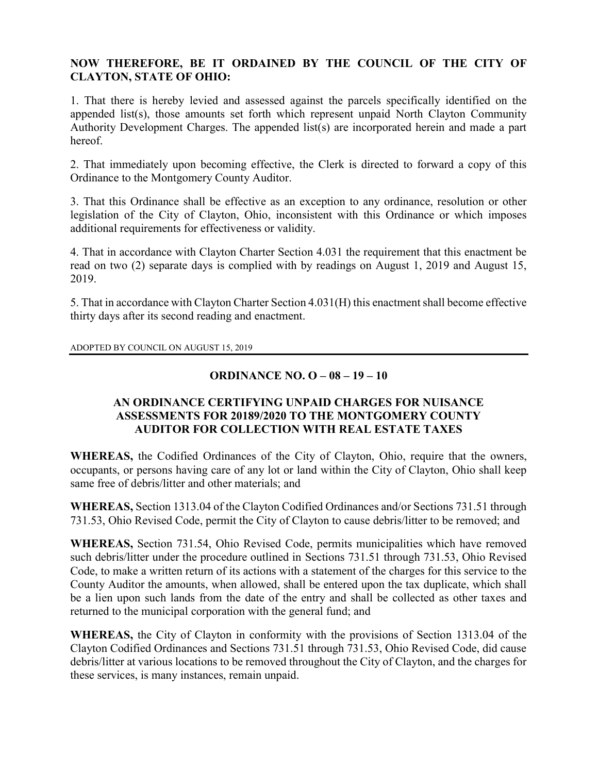#### NOW THEREFORE, BE IT ORDAINED BY THE COUNCIL OF THE CITY OF CLAYTON, STATE OF OHIO:

1. That there is hereby levied and assessed against the parcels specifically identified on the appended list(s), those amounts set forth which represent unpaid North Clayton Community Authority Development Charges. The appended list(s) are incorporated herein and made a part hereof.

2. That immediately upon becoming effective, the Clerk is directed to forward a copy of this Ordinance to the Montgomery County Auditor.

3. That this Ordinance shall be effective as an exception to any ordinance, resolution or other legislation of the City of Clayton, Ohio, inconsistent with this Ordinance or which imposes additional requirements for effectiveness or validity.

4. That in accordance with Clayton Charter Section 4.031 the requirement that this enactment be read on two (2) separate days is complied with by readings on August 1, 2019 and August 15, 2019.

5. That in accordance with Clayton Charter Section 4.031(H) this enactment shall become effective thirty days after its second reading and enactment.

ADOPTED BY COUNCIL ON AUGUST 15, 2019

# ORDINANCE NO. O – 08 – 19 – 10

# AN ORDINANCE CERTIFYING UNPAID CHARGES FOR NUISANCE ASSESSMENTS FOR 20189/2020 TO THE MONTGOMERY COUNTY AUDITOR FOR COLLECTION WITH REAL ESTATE TAXES

WHEREAS, the Codified Ordinances of the City of Clayton, Ohio, require that the owners, occupants, or persons having care of any lot or land within the City of Clayton, Ohio shall keep same free of debris/litter and other materials; and

WHEREAS, Section 1313.04 of the Clayton Codified Ordinances and/or Sections 731.51 through 731.53, Ohio Revised Code, permit the City of Clayton to cause debris/litter to be removed; and

WHEREAS, Section 731.54, Ohio Revised Code, permits municipalities which have removed such debris/litter under the procedure outlined in Sections 731.51 through 731.53, Ohio Revised Code, to make a written return of its actions with a statement of the charges for this service to the County Auditor the amounts, when allowed, shall be entered upon the tax duplicate, which shall be a lien upon such lands from the date of the entry and shall be collected as other taxes and returned to the municipal corporation with the general fund; and

WHEREAS, the City of Clayton in conformity with the provisions of Section 1313.04 of the Clayton Codified Ordinances and Sections 731.51 through 731.53, Ohio Revised Code, did cause debris/litter at various locations to be removed throughout the City of Clayton, and the charges for these services, is many instances, remain unpaid.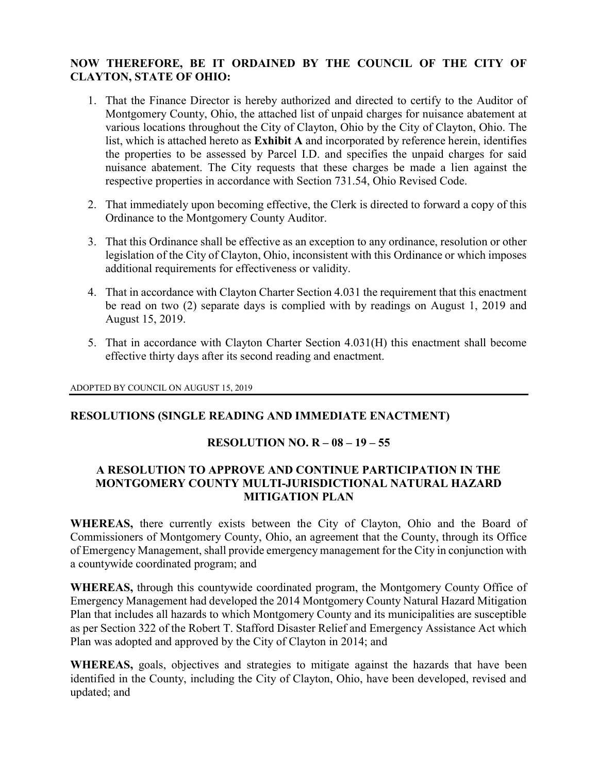# NOW THEREFORE, BE IT ORDAINED BY THE COUNCIL OF THE CITY OF CLAYTON, STATE OF OHIO:

- 1. That the Finance Director is hereby authorized and directed to certify to the Auditor of Montgomery County, Ohio, the attached list of unpaid charges for nuisance abatement at various locations throughout the City of Clayton, Ohio by the City of Clayton, Ohio. The list, which is attached hereto as Exhibit A and incorporated by reference herein, identifies the properties to be assessed by Parcel I.D. and specifies the unpaid charges for said nuisance abatement. The City requests that these charges be made a lien against the respective properties in accordance with Section 731.54, Ohio Revised Code.
- 2. That immediately upon becoming effective, the Clerk is directed to forward a copy of this Ordinance to the Montgomery County Auditor.
- 3. That this Ordinance shall be effective as an exception to any ordinance, resolution or other legislation of the City of Clayton, Ohio, inconsistent with this Ordinance or which imposes additional requirements for effectiveness or validity.
- 4. That in accordance with Clayton Charter Section 4.031 the requirement that this enactment be read on two (2) separate days is complied with by readings on August 1, 2019 and August 15, 2019.
- 5. That in accordance with Clayton Charter Section 4.031(H) this enactment shall become effective thirty days after its second reading and enactment.

#### ADOPTED BY COUNCIL ON AUGUST 15, 2019

# RESOLUTIONS (SINGLE READING AND IMMEDIATE ENACTMENT)

#### RESOLUTION NO. R – 08 – 19 – 55

#### A RESOLUTION TO APPROVE AND CONTINUE PARTICIPATION IN THE MONTGOMERY COUNTY MULTI-JURISDICTIONAL NATURAL HAZARD MITIGATION PLAN

WHEREAS, there currently exists between the City of Clayton, Ohio and the Board of Commissioners of Montgomery County, Ohio, an agreement that the County, through its Office of Emergency Management, shall provide emergency management for the City in conjunction with a countywide coordinated program; and

WHEREAS, through this countywide coordinated program, the Montgomery County Office of Emergency Management had developed the 2014 Montgomery County Natural Hazard Mitigation Plan that includes all hazards to which Montgomery County and its municipalities are susceptible as per Section 322 of the Robert T. Stafford Disaster Relief and Emergency Assistance Act which Plan was adopted and approved by the City of Clayton in 2014; and

WHEREAS, goals, objectives and strategies to mitigate against the hazards that have been identified in the County, including the City of Clayton, Ohio, have been developed, revised and updated; and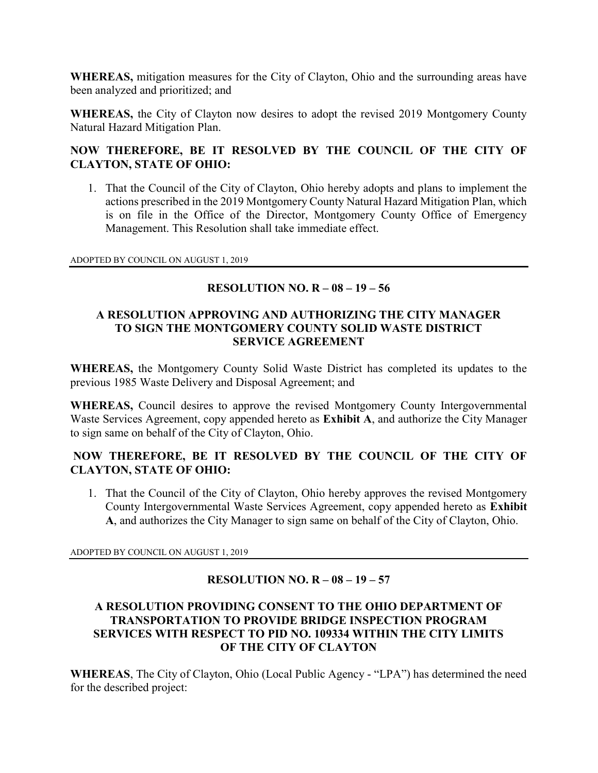WHEREAS, mitigation measures for the City of Clayton, Ohio and the surrounding areas have been analyzed and prioritized; and

WHEREAS, the City of Clayton now desires to adopt the revised 2019 Montgomery County Natural Hazard Mitigation Plan.

# NOW THEREFORE, BE IT RESOLVED BY THE COUNCIL OF THE CITY OF CLAYTON, STATE OF OHIO:

1. That the Council of the City of Clayton, Ohio hereby adopts and plans to implement the actions prescribed in the 2019 Montgomery County Natural Hazard Mitigation Plan, which is on file in the Office of the Director, Montgomery County Office of Emergency Management. This Resolution shall take immediate effect.

ADOPTED BY COUNCIL ON AUGUST 1, 2019

# RESOLUTION NO. R – 08 – 19 – 56

#### A RESOLUTION APPROVING AND AUTHORIZING THE CITY MANAGER TO SIGN THE MONTGOMERY COUNTY SOLID WASTE DISTRICT SERVICE AGREEMENT

WHEREAS, the Montgomery County Solid Waste District has completed its updates to the previous 1985 Waste Delivery and Disposal Agreement; and

WHEREAS, Council desires to approve the revised Montgomery County Intergovernmental Waste Services Agreement, copy appended hereto as Exhibit A, and authorize the City Manager to sign same on behalf of the City of Clayton, Ohio.

# NOW THEREFORE, BE IT RESOLVED BY THE COUNCIL OF THE CITY OF CLAYTON, STATE OF OHIO:

1. That the Council of the City of Clayton, Ohio hereby approves the revised Montgomery County Intergovernmental Waste Services Agreement, copy appended hereto as Exhibit A, and authorizes the City Manager to sign same on behalf of the City of Clayton, Ohio.

ADOPTED BY COUNCIL ON AUGUST 1, 2019

# RESOLUTION NO. R – 08 – 19 – 57

#### A RESOLUTION PROVIDING CONSENT TO THE OHIO DEPARTMENT OF TRANSPORTATION TO PROVIDE BRIDGE INSPECTION PROGRAM SERVICES WITH RESPECT TO PID NO. 109334 WITHIN THE CITY LIMITS OF THE CITY OF CLAYTON

WHEREAS, The City of Clayton, Ohio (Local Public Agency - "LPA") has determined the need for the described project: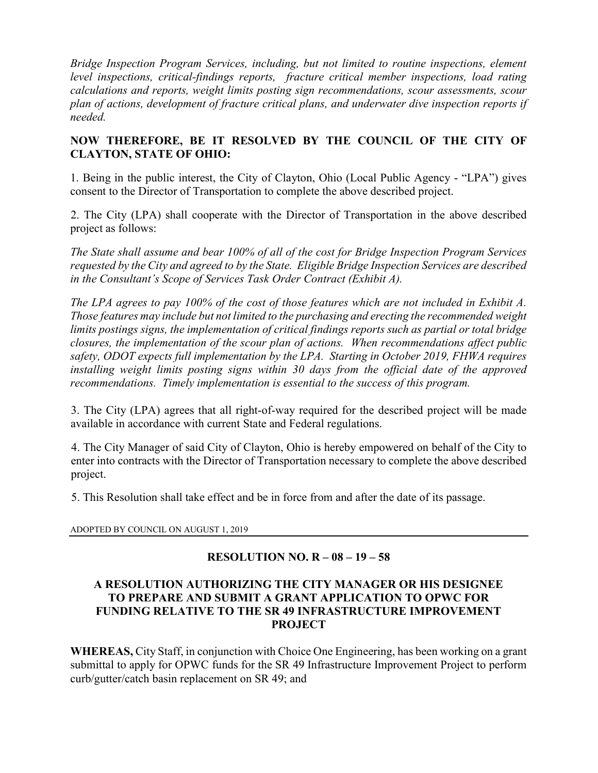Bridge Inspection Program Services, including, but not limited to routine inspections, element level inspections, critical-findings reports, fracture critical member inspections, load rating calculations and reports, weight limits posting sign recommendations, scour assessments, scour plan of actions, development of fracture critical plans, and underwater dive inspection reports if needed.

# NOW THEREFORE, BE IT RESOLVED BY THE COUNCIL OF THE CITY OF CLAYTON, STATE OF OHIO:

1. Being in the public interest, the City of Clayton, Ohio (Local Public Agency - "LPA") gives consent to the Director of Transportation to complete the above described project.

2. The City (LPA) shall cooperate with the Director of Transportation in the above described project as follows:

The State shall assume and bear 100% of all of the cost for Bridge Inspection Program Services requested by the City and agreed to by the State. Eligible Bridge Inspection Services are described in the Consultant's Scope of Services Task Order Contract (Exhibit A).

The LPA agrees to pay 100% of the cost of those features which are not included in Exhibit A. Those features may include but not limited to the purchasing and erecting the recommended weight limits postings signs, the implementation of critical findings reports such as partial or total bridge closures, the implementation of the scour plan of actions. When recommendations affect public safety, ODOT expects full implementation by the LPA. Starting in October 2019, FHWA requires installing weight limits posting signs within 30 days from the official date of the approved recommendations. Timely implementation is essential to the success of this program.

3. The City (LPA) agrees that all right-of-way required for the described project will be made available in accordance with current State and Federal regulations.

4. The City Manager of said City of Clayton, Ohio is hereby empowered on behalf of the City to enter into contracts with the Director of Transportation necessary to complete the above described project.

5. This Resolution shall take effect and be in force from and after the date of its passage.

ADOPTED BY COUNCIL ON AUGUST 1, 2019

# RESOLUTION NO. R – 08 – 19 – 58

#### A RESOLUTION AUTHORIZING THE CITY MANAGER OR HIS DESIGNEE TO PREPARE AND SUBMIT A GRANT APPLICATION TO OPWC FOR FUNDING RELATIVE TO THE SR 49 INFRASTRUCTURE IMPROVEMENT PROJECT

WHEREAS, City Staff, in conjunction with Choice One Engineering, has been working on a grant submittal to apply for OPWC funds for the SR 49 Infrastructure Improvement Project to perform curb/gutter/catch basin replacement on SR 49; and